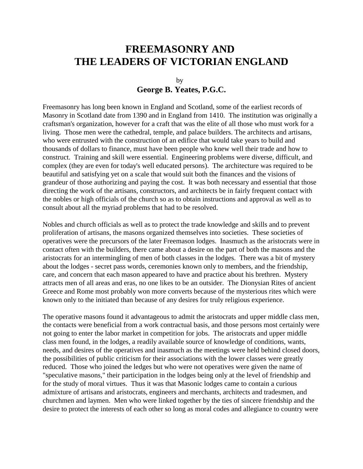# **FREEMASONRY AND THE LEADERS OF VICTORIAN ENGLAND**

## by **George B. Yeates, P.G.C.**

Freemasonry has long been known in England and Scotland, some of the earliest records of Masonry in Scotland date from 1390 and in England from 1410. The institution was originally a craftsman's organization, however for a craft that was the elite of all those who must work for a living. Those men were the cathedral, temple, and palace builders. The architects and artisans, who were entrusted with the construction of an edifice that would take years to build and thousands of dollars to finance, must have been people who knew well their trade and how to construct. Training and skill were essential. Engineering problems were diverse, difficult, and complex (they are even for today's well educated persons). The architecture was required to be beautiful and satisfying yet on a scale that would suit both the finances and the visions of grandeur of those authorizing and paying the cost. It was both necessary and essential that those directing the work of the artisans, constructors, and architects be in fairly frequent contact with the nobles or high officials of the church so as to obtain instructions and approval as well as to consult about all the myriad problems that had to be resolved.

Nobles and church officials as well as to protect the trade knowledge and skills and to prevent proliferation of artisans, the masons organized themselves into societies. These societies of operatives were the precursors of the later Freemason lodges. Inasmuch as the aristocrats were in contact often with the builders, there came about a desire on the part of both the masons and the aristocrats for an intermingling of men of both classes in the lodges. There was a bit of mystery about the lodges - secret pass words, ceremonies known only to members, and the friendship, care, and concern that each mason appeared to have and practice about his brethren. Mystery attracts men of all areas and eras, no one likes to be an outsider. The Dionysian Rites of ancient Greece and Rome most probably won more converts because of the mysterious rites which were known only to the initiated than because of any desires for truly religious experience.

The operative masons found it advantageous to admit the aristocrats and upper middle class men, the contacts were beneficial from a work contractual basis, and those persons most certainly were not going to enter the labor market in competition for jobs. The aristocrats and upper middle class men found, in the lodges, a readily available source of knowledge of conditions, wants, needs, and desires of the operatives and inasmuch as the meetings were held behind closed doors, the possibilities of public criticism for their associations with the lower classes were greatly reduced. Those who joined the ledges but who were not operatives were given the name of "speculative masons," their participation in the lodges being only at the level of friendship and for the study of moral virtues. Thus it was that Masonic lodges came to contain a curious admixture of artisans and aristocrats, engineers and merchants, architects and tradesmen, and churchmen and laymen. Men who were linked together by the ties of sincere friendship and the desire to protect the interests of each other so long as moral codes and allegiance to country were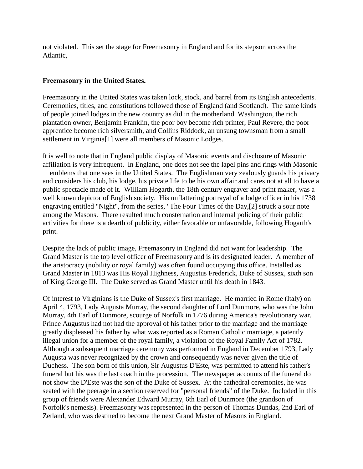not violated. This set the stage for Freemasonry in England and for its stepson across the Atlantic,

#### **Freemasonry in the United States.**

Freemasonry in the United States was taken lock, stock, and barrel from its English antecedents. Ceremonies, titles, and constitutions followed those of England (and Scotland). The same kinds of people joined lodges in the new country as did in the motherland. Washington, the rich plantation owner, Benjamin Franklin, the poor boy become rich printer, Paul Revere, the poor apprentice become rich silversmith, and Collins Riddock, an unsung townsman from a small settlement in Virginia[1] were all members of Masonic Lodges.

It is well to note that in England public display of Masonic events and disclosure of Masonic affiliation is very infrequent. In England, one does not see the lapel pins and rings with Masonic emblems that one sees in the United States. The Englishman very zealously guards his privacy and considers his club, his lodge, his private life to be his own affair and cares not at all to have a public spectacle made of it. William Hogarth, the 18th century engraver and print maker, was a well known depictor of English society. His unflattering portrayal of a lodge officer in his 1738 engraving entitled "Night", from the series, "The Four Times of the Day,[2] struck a sour note among the Masons. There resulted much consternation and internal policing of their public activities for there is a dearth of publicity, either favorable or unfavorable, following Hogarth's print.

Despite the lack of public image, Freemasonry in England did not want for leadership. The Grand Master is the top level officer of Freemasonry and is its designated leader. A member of the aristocracy (nobility or royal family) was often found occupying this office. Installed as Grand Master in 1813 was His Royal Highness, Augustus Frederick, Duke of Sussex, sixth son of King George III. The Duke served as Grand Master until his death in 1843.

Of interest to Virginians is the Duke of Sussex's first marriage. He married in Rome (Italy) on April 4, 1793, Lady Augusta Murray, the second daughter of Lord Dunmore, who was the John Murray, 4th Earl of Dunmore, scourge of Norfolk in 1776 during America's revolutionary war. Prince Augustus had not had the approval of his father prior to the marriage and the marriage greatly displeased his father by what was reported as a Roman Catholic marriage, a patently illegal union for a member of the royal family, a violation of the Royal Family Act of 1782. Although a subsequent marriage ceremony was performed in England in December 1793, Lady Augusta was never recognized by the crown and consequently was never given the title of Duchess. The son born of this union, Sir Augustus D'Este, was permitted to attend his father's funeral but his was the last coach in the procession. The newspaper accounts of the funeral do not show the D'Este was the son of the Duke of Sussex. At the cathedral ceremonies, he was seated with the peerage in a section reserved for "personal friends" of the Duke. Included in this group of friends were Alexander Edward Murray, 6th Earl of Dunmore (the grandson of Norfolk's nemesis). Freemasonry was represented in the person of Thomas Dundas, 2nd Earl of Zetland, who was destined to become the next Grand Master of Masons in England.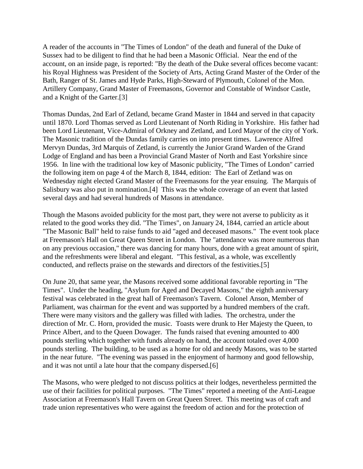A reader of the accounts in "The Times of London" of the death and funeral of the Duke of Sussex had to be diligent to find that he had been a Masonic Official. Near the end of the account, on an inside page, is reported: "By the death of the Duke several offices become vacant: his Royal Highness was President of the Society of Arts, Acting Grand Master of the Order of the Bath, Ranger of St. James and Hyde Parks, High-Steward of Plymouth, Colonel of the Mon. Artillery Company, Grand Master of Freemasons, Governor and Constable of Windsor Castle, and a Knight of the Garter.[3]

Thomas Dundas, 2nd Earl of Zetland, became Grand Master in 1844 and served in that capacity until 1870. Lord Thomas served as Lord Lieutenant of North Riding in Yorkshire. His father had been Lord Lieutenant, Vice-Admiral of Orkney and Zetland, and Lord Mayor of the city of York. The Masonic tradition of the Dundas family carries on into present times. Lawrence Alfred Mervyn Dundas, 3rd Marquis of Zetland, is currently the Junior Grand Warden of the Grand Lodge of England and has been a Provincial Grand Master of North and East Yorkshire since 1956. In line with the traditional low key of Masonic publicity, "The Times of London" carried the following item on page 4 of the March 8, 1844, edition: The Earl of Zetland was on Wednesday night elected Grand Master of the Freemasons for the year ensuing. The Marquis of Salisbury was also put in nomination.[4] This was the whole coverage of an event that lasted several days and had several hundreds of Masons in attendance.

Though the Masons avoided publicity for the most part, they were not averse to publicity as it related to the good works they did. "The Times", on January 24, 1844, carried an article about "The Masonic Ball" held to raise funds to aid "aged and deceased masons." The event took place at Freemason's Hall on Great Queen Street in London. The "attendance was more numerous than on any previous occasion," there was dancing for many hours, done with a great amount of spirit, and the refreshments were liberal and elegant. "This festival, as a whole, was excellently conducted, and reflects praise on the stewards and directors of the festivities.[5]

On June 20, that same year, the Masons received some additional favorable reporting in "The Times". Under the heading, "Asylum for Aged and Decayed Masons," the eighth anniversary festival was celebrated in the great hall of Freemason's Tavern. Colonel Anson, Member of Parliament, was chairman for the event and was supported by a hundred members of the craft. There were many visitors and the gallery was filled with ladies. The orchestra, under the direction of Mr. C. Horn, provided the music. Toasts were drunk to Her Majesty the Queen, to Prince Albert, and to the Queen Dowager. The funds raised that evening amounted to 400 pounds sterling which together with funds already on hand, the account totaled over 4,000 pounds sterling. The building, to be used as a home for old and needy Masons, was to be started in the near future. "The evening was passed in the enjoyment of harmony and good fellowship, and it was not until a late hour that the company dispersed.[6]

The Masons, who were pledged to not discuss politics at their lodges, nevertheless permitted the use of their facilities for political purposes. "The Times" reported a meeting of the Anti-League Association at Freemason's Hall Tavern on Great Queen Street. This meeting was of craft and trade union representatives who were against the freedom of action and for the protection of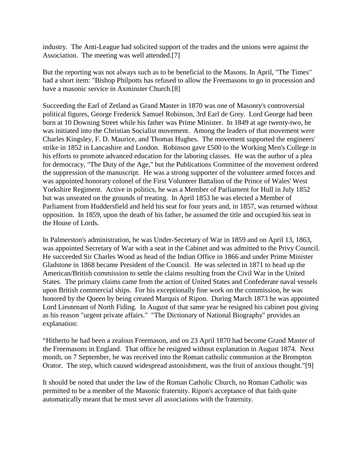industry. The Anti-League had solicited support of the trades and the unions were against the Association. The meeting was well attended.[7]

But the reporting was not always such as to be beneficial to the Masons. In April, "The Times" had a short item: "Bishop Philpotts has refused to allow the Freemasons to go in procession and have a masonic service in Axminster Church.[8]

Succeeding the Earl of Zetland as Grand Master in 1870 was one of Masonry's controversial political figures, George Frederick Samuel Robinson, 3rd Earl de Grey. Lord George had been born at 10 Downing Street while his father was Prime Minister. In 1849 at age twenty-two, he was initiated into the Christian Socialist movement. Among the leaders of that movement were Charles Kingsley, F. D. Maurice, and Thomas Hughes. The movement supported the engineers' strike in 1852 in Lancashire and London. Robinson gave £500 to the Working Men's College in his efforts to promote advanced education for the laboring classes. He was the author of a plea for democracy, "The Duty of the Age," but the Publications Committee of the movement ordered the suppression of the manuscript. He was a strong supporter of the volunteer armed forces and was appointed honorary colonel of the First Volunteer Battalion of the Prince of Wales' West Yorkshire Regiment. Active in politics, he was a Member of Parliament for Hull in July 1852 but was unseated on the grounds of treating. In April 1853 he was elected a Member of Parliament from Huddersfield and held his seat for four years and, in 1857, was returned without opposition. In 1859, upon the death of his father, he assumed the title and occupied his seat in the House of Lords.

In Palmerston's administration, he was Under-Secretary of War in 1859 and on April 13, 1863, was appointed Secretary of War with a seat in the Cabinet and was admitted to the Privy Council. He succeeded Sir Charles Wood as head of the Indian Office in 1866 and under Prime Minister Gladstone in 1868 became President of the Council. He was selected in 1871 to head up the American/British commission to settle the claims resulting from the Civil War in the United States. The primary claims came from the action of United States and Confederate naval vessels upon British commercial ships. For his exceptionally fine work on the commission, he was honored by the Queen by being created Marquis of Ripon. During March 1873 he was appointed Lord Lieutenant of North Fiding. In August of that same year he resigned his cabinet post giving as his reason "urgent private affairs." "The Dictionary of National Biography" provides an explanation:

"Hitherto he had been a zealous Freemason, and on 23 April 1870 had become Grand Master of the Freemasons in England. That office he resigned without explanation in August 1874. Next month, on 7 September, he was received into the Roman catholic communion at the Brompton Orator. The step, which caused widespread astonishment, was the fruit of anxious thought."[9]

It should be noted that under the law of the Roman Catholic Church, no Roman Catholic was permitted to be a member of the Masonic fraternity. Ripon's acceptance of that faith quite automatically meant that he must sever all associations with the fraternity.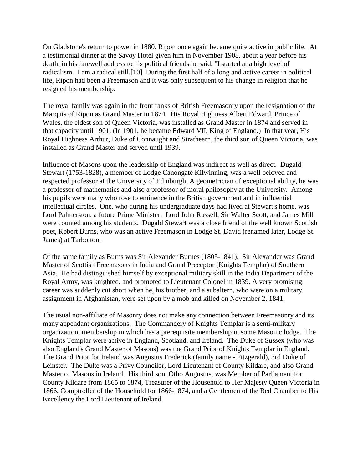On Gladstone's return to power in 1880, Ripon once again became quite active in public life. At a testimonial dinner at the Savoy Hotel given him in November 1908, about a year before his death, in his farewell address to his political friends he said, "I started at a high level of radicalism. I am a radical still.[10] During the first half of a long and active career in political life, Ripon had been a Freemason and it was only subsequent to his change in religion that he resigned his membership.

The royal family was again in the front ranks of British Freemasonry upon the resignation of the Marquis of Ripon as Grand Master in 1874. His Royal Highness Albert Edward, Prince of Wales, the eldest son of Queen Victoria, was installed as Grand Master in 1874 and served in that capacity until 1901. (In 1901, he became Edward VII, King of England.) In that year, His Royal Highness Arthur, Duke of Connaught and Strathearn, the third son of Queen Victoria, was installed as Grand Master and served until 1939.

Influence of Masons upon the leadership of England was indirect as well as direct. Dugald Stewart (1753-1828), a member of Lodge Canongate Kilwinning, was a well beloved and respected professor at the University of Edinburgh. A geometrician of exceptional ability, he was a professor of mathematics and also a professor of moral philosophy at the University. Among his pupils were many who rose to eminence in the British government and in influential intellectual circles. One, who during his undergraduate days had lived at Stewart's home, was Lord Palmerston, a future Prime Minister. Lord John Russell, Sir Walter Scott, and James Mill were counted among his students. Dugald Stewart was a close friend of the well known Scottish poet, Robert Burns, who was an active Freemason in Lodge St. David (renamed later, Lodge St. James) at Tarbolton.

Of the same family as Burns was Sir Alexander Burnes (1805-1841). Sir Alexander was Grand Master of Scottish Freemasons in India and Grand Preceptor (Knights Templar) of Southern Asia. He had distinguished himself by exceptional military skill in the India Department of the Royal Army, was knighted, and promoted to Lieutenant Colonel in 1839. A very promising career was suddenly cut short when he, his brother, and a subaltern, who were on a military assignment in Afghanistan, were set upon by a mob and killed on November 2, 1841.

The usual non-affiliate of Masonry does not make any connection between Freemasonry and its many appendant organizations. The Commandery of Knights Templar is a semi-military organization, membership in which has a prerequisite membership in some Masonic lodge. The Knights Templar were active in England, Scotland, and Ireland. The Duke of Sussex (who was also England's Grand Master of Masons) was the Grand Prior of Knights Templar in England. The Grand Prior for Ireland was Augustus Frederick (family name - Fitzgerald), 3rd Duke of Leinster. The Duke was a Privy Councilor, Lord Lieutenant of County Kildare, and also Grand Master of Masons in Ireland. His third son, Otho Augustus, was Member of Parliament for County Kildare from 1865 to 1874, Treasurer of the Household to Her Majesty Queen Victoria in 1866, Comptroller of the Household for 1866-1874, and a Gentlemen of the Bed Chamber to His Excellency the Lord Lieutenant of Ireland.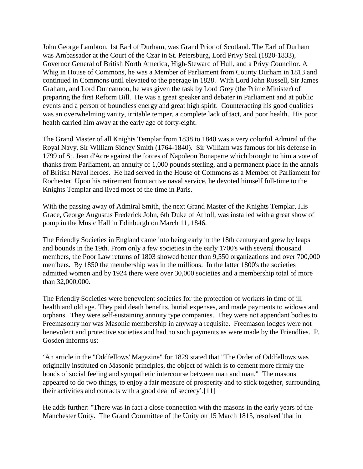John George Lambton, 1st Earl of Durham, was Grand Prior of Scotland. The Earl of Durham was Ambassador at the Court of the Czar in St. Petersburg, Lord Privy Seal (1820-1833), Governor General of British North America, High-Steward of Hull, and a Privy Councilor. A Whig in House of Commons, he was a Member of Parliament from County Durham in 1813 and continued in Commons until elevated to the peerage in 1828. With Lord John Russell, Sir James Graham, and Lord Duncannon, he was given the task by Lord Grey (the Prime Minister) of preparing the first Reform Bill. He was a great speaker and debater in Parliament and at public events and a person of boundless energy and great high spirit. Counteracting his good qualities was an overwhelming vanity, irritable temper, a complete lack of tact, and poor health. His poor health carried him away at the early age of forty-eight.

The Grand Master of all Knights Templar from 1838 to 1840 was a very colorful Admiral of the Royal Navy, Sir William Sidney Smith (1764-1840). Sir William was famous for his defense in 1799 of St. Jean d'Acre against the forces of Napoleon Bonaparte which brought to him a vote of thanks from Parliament, an annuity of 1,000 pounds sterling, and a permanent place in the annals of British Naval heroes. He had served in the House of Commons as a Member of Parliament for Rochester. Upon his retirement from active naval service, he devoted himself full-time to the Knights Templar and lived most of the time in Paris.

With the passing away of Admiral Smith, the next Grand Master of the Knights Templar, His Grace, George Augustus Frederick John, 6th Duke of Atholl, was installed with a great show of pomp in the Music Hall in Edinburgh on March 11, 1846.

The Friendly Societies in England came into being early in the 18th century and grew by leaps and bounds in the 19th. From only a few societies in the early 1700's with several thousand members, the Poor Law returns of 1803 showed better than 9,550 organizations and over 700,000 members. By 1850 the membership was in the millions. In the latter 1800's the societies admitted women and by 1924 there were over 30,000 societies and a membership total of more than 32,000,000.

The Friendly Societies were benevolent societies for the protection of workers in time of ill health and old age. They paid death benefits, burial expenses, and made payments to widows and orphans. They were self-sustaining annuity type companies. They were not appendant bodies to Freemasonry nor was Masonic membership in anyway a requisite. Freemason lodges were not benevolent and protective societies and had no such payments as were made by the Friendlies. P. Gosden informs us:

'An article in the "Oddfellows' Magazine" for 1829 stated that "The Order of Oddfellows was originally instituted on Masonic principles, the object of which is to cement more firmly the bonds of social feeling and sympathetic intercourse between man and man." The masons appeared to do two things, to enjoy a fair measure of prosperity and to stick together, surrounding their activities and contacts with a good deal of secrecy'.[11]

He adds further: "There was in fact a close connection with the masons in the early years of the Manchester Unity. The Grand Committee of the Unity on 15 March 1815, resolved 'that in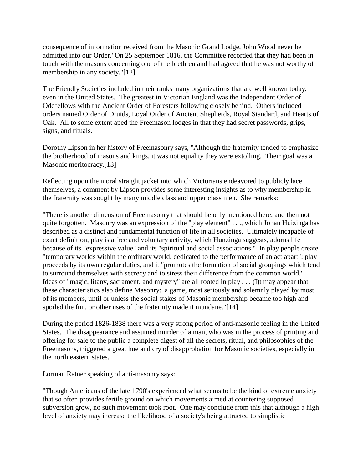consequence of information received from the Masonic Grand Lodge, John Wood never be admitted into our Order.' On 25 September 1816, the Committee recorded that they had been in touch with the masons concerning one of the brethren and had agreed that he was not worthy of membership in any society."[12]

The Friendly Societies included in their ranks many organizations that are well known today, even in the United States. The greatest in Victorian England was the Independent Order of Oddfellows with the Ancient Order of Foresters following closely behind. Others included orders named Order of Druids, Loyal Order of Ancient Shepherds, Royal Standard, and Hearts of Oak. All to some extent aped the Freemason lodges in that they had secret passwords, grips, signs, and rituals.

Dorothy Lipson in her history of Freemasonry says, "Although the fraternity tended to emphasize the brotherhood of masons and kings, it was not equality they were extolling. Their goal was a Masonic meritocracy.[13]

Reflecting upon the moral straight jacket into which Victorians endeavored to publicly lace themselves, a comment by Lipson provides some interesting insights as to why membership in the fraternity was sought by many middle class and upper class men. She remarks:

"There is another dimension of Freemasonry that should be only mentioned here, and then not quite forgotten. Masonry was an expression of the "play element" . . ., which Johan Huizinga has described as a distinct and fundamental function of life in all societies. Ultimately incapable of exact definition, play is a free and voluntary activity, which Hunzinga suggests, adorns life because of its "expressive value" and its "spiritual and social associations." In play people create "temporary worlds within the ordinary world, dedicated to the performance of an act apart": play proceeds by its own regular duties, and it "promotes the formation of social groupings which tend to surround themselves with secrecy and to stress their difference from the common world." Ideas of "magic, litany, sacrament, and mystery" are all rooted in play . . . (I)t may appear that these characteristics also define Masonry: a game, most seriously and solemnly played by most of its members, until or unless the social stakes of Masonic membership became too high and spoiled the fun, or other uses of the fraternity made it mundane."[14]

During the period 1826-1838 there was a very strong period of anti-masonic feeling in the United States. The disappearance and assumed murder of a man, who was in the process of printing and offering for sale to the public a complete digest of all the secrets, ritual, and philosophies of the Freemasons, triggered a great hue and cry of disapprobation for Masonic societies, especially in the north eastern states.

Lorman Ratner speaking of anti-masonry says:

"Though Americans of the late 1790's experienced what seems to be the kind of extreme anxiety that so often provides fertile ground on which movements aimed at countering supposed subversion grow, no such movement took root. One may conclude from this that although a high level of anxiety may increase the likelihood of a society's being attracted to simplistic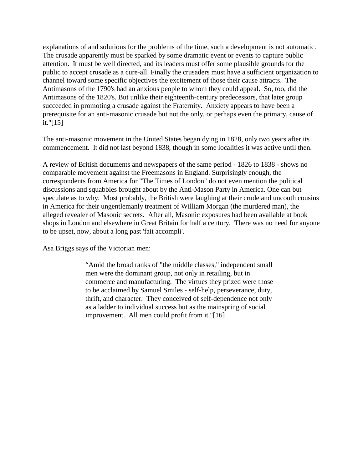explanations of and solutions for the problems of the time, such a development is not automatic. The crusade apparently must be sparked by some dramatic event or events to capture public attention. It must be well directed, and its leaders must offer some plausible grounds for the public to accept crusade as a cure-all. Finally the crusaders must have a sufficient organization to channel toward some specific objectives the excitement of those their cause attracts. The Antimasons of the 1790's had an anxious people to whom they could appeal. So, too, did the Antimasons of the 1820's. But unlike their eighteenth-century predecessors, that later group succeeded in promoting a crusade against the Fraternity. Anxiety appears to have been a prerequisite for an anti-masonic crusade but not the only, or perhaps even the primary, cause of it."[15]

The anti-masonic movement in the United States began dying in 1828, only two years after its commencement. It did not last beyond 1838, though in some localities it was active until then.

A review of British documents and newspapers of the same period - 1826 to 1838 - shows no comparable movement against the Freemasons in England. Surprisingly enough, the correspondents from America for "The Times of London" do not even mention the political discussions and squabbles brought about by the Anti-Mason Party in America. One can but speculate as to why. Most probably, the British were laughing at their crude and uncouth cousins in America for their ungentlemanly treatment of William Morgan (the murdered man), the alleged revealer of Masonic secrets. After all, Masonic exposures had been available at book shops in London and elsewhere in Great Britain for half a century. There was no need for anyone to be upset, now, about a long past 'fait accompli'.

Asa Briggs says of the Victorian men:

"Amid the broad ranks of "the middle classes," independent small men were the dominant group, not only in retailing, but in commerce and manufacturing. The virtues they prized were those to be acclaimed by Samuel Smiles - self-help, perseverance, duty, thrift, and character. They conceived of self-dependence not only as a ladder to individual success but as the mainspring of social improvement. All men could profit from it."[16]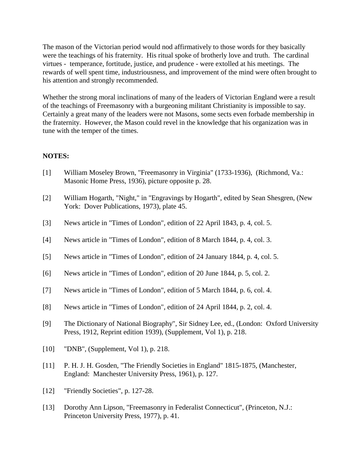The mason of the Victorian period would nod affirmatively to those words for they basically were the teachings of his fraternity. His ritual spoke of brotherly love and truth. The cardinal virtues - temperance, fortitude, justice, and prudence - were extolled at his meetings. The rewards of well spent time, industriousness, and improvement of the mind were often brought to his attention and strongly recommended.

Whether the strong moral inclinations of many of the leaders of Victorian England were a result of the teachings of Freemasonry with a burgeoning militant Christianity is impossible to say. Certainly a great many of the leaders were not Masons, some sects even forbade membership in the fraternity. However, the Mason could revel in the knowledge that his organization was in tune with the temper of the times.

#### **NOTES:**

- [1] William Moseley Brown, "Freemasonry in Virginia" (1733-1936), (Richmond, Va.: Masonic Home Press, 1936), picture opposite p. 28.
- [2] William Hogarth, "Night," in "Engravings by Hogarth", edited by Sean Shesgren, (New York: Dover Publications, 1973), plate 45.
- [3] News article in "Times of London", edition of 22 April 1843, p. 4, col. 5.
- [4] News article in "Times of London", edition of 8 March 1844, p. 4, col. 3.
- [5] News article in "Times of London", edition of 24 January 1844, p. 4, col. 5.
- [6] News article in "Times of London", edition of 20 June 1844, p. 5, col. 2.
- [7] News article in "Times of London", edition of 5 March 1844, p. 6, col. 4.
- [8] News article in "Times of London", edition of 24 April 1844, p. 2, col. 4.
- [9] The Dictionary of National Biography", Sir Sidney Lee, ed., (London: Oxford University Press, 1912, Reprint edition 1939), (Supplement, Vol 1), p. 218.
- [10] "DNB", (Supplement, Vol 1), p. 218.
- [11] P. H. J. H. Gosden, "The Friendly Societies in England" 1815-1875, (Manchester, England: Manchester University Press, 1961), p. 127.
- [12] "Friendly Societies", p. 127-28.
- [13] Dorothy Ann Lipson, "Freemasonry in Federalist Connecticut", (Princeton, N.J.: Princeton University Press, 1977), p. 41.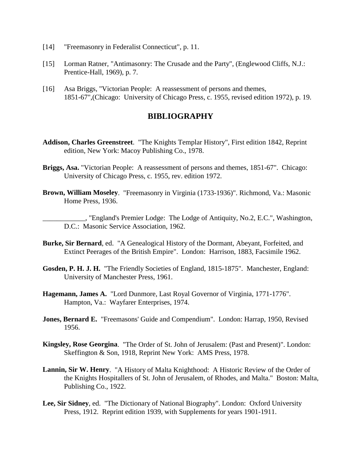- [14] "Freemasonry in Federalist Connecticut", p. 11.
- [15] Lorman Ratner, "Antimasonry: The Crusade and the Party", (Englewood Cliffs, N.J.: Prentice-Hall, 1969), p. 7.
- [16] Asa Briggs, "Victorian People: A reassessment of persons and themes, 1851-67",(Chicago: University of Chicago Press, c. 1955, revised edition 1972), p. 19.

### **BIBLIOGRAPHY**

- **Addison, Charles Greenstreet**. "The Knights Templar History", First edition 1842, Reprint edition, New York: Macoy Publishing Co., 1978.
- **Briggs, Asa.** "Victorian People: A reassessment of persons and themes, 1851-67". Chicago: University of Chicago Press, c. 1955, rev. edition 1972.
- **Brown, William Moseley**. "Freemasonry in Virginia (1733-1936)". Richmond, Va.: Masonic Home Press, 1936.

\_\_\_\_\_\_\_\_\_\_\_\_, "England's Premier Lodge: The Lodge of Antiquity, No.2, E.C.", Washington, D.C.: Masonic Service Association, 1962.

- **Burke, Sir Bernard**, ed. "A Genealogical History of the Dormant, Abeyant, Forfeited, and Extinct Peerages of the British Empire". London: Harrison, 1883, Facsimile 1962.
- **Gosden, P. H. J. H.** "The Friendly Societies of England, 1815-1875". Manchester, England: University of Manchester Press, 1961.
- **Hagemann, James A.** "Lord Dunmore, Last Royal Governor of Virginia, 1771-1776". Hampton, Va.: Wayfarer Enterprises, 1974.
- **Jones, Bernard E.** "Freemasons' Guide and Compendium". London: Harrap, 1950, Revised 1956.
- **Kingsley, Rose Georgina**. "The Order of St. John of Jerusalem: (Past and Present)". London: Skeffington & Son, 1918, Reprint New York: AMS Press, 1978.
- **Lannin, Sir W. Henry**. "A History of Malta Knighthood: A Historic Review of the Order of the Knights Hospitallers of St. John of Jerusalem, of Rhodes, and Malta." Boston: Malta, Publishing Co., 1922.
- **Lee, Sir Sidney**, ed. "The Dictionary of National Biography". London: Oxford University Press, 1912. Reprint edition 1939, with Supplements for years 1901-1911.